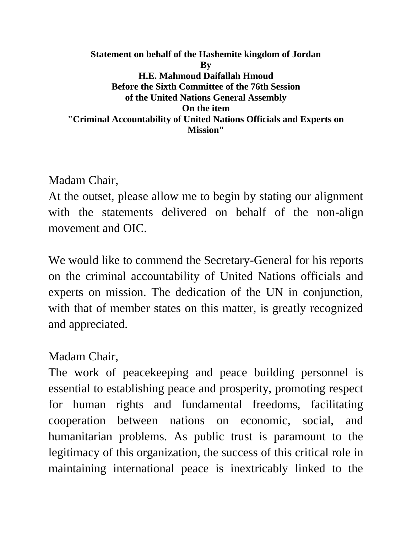## **Statement on behalf of the Hashemite kingdom of Jordan By H.E. Mahmoud Daifallah Hmoud Before the Sixth Committee of the 76th Session of the United Nations General Assembly On the item "Criminal Accountability of United Nations Officials and Experts on Mission"**

Madam Chair,

At the outset, please allow me to begin by stating our alignment with the statements delivered on behalf of the non-align movement and OIC.

We would like to commend the Secretary-General for his reports on the criminal accountability of United Nations officials and experts on mission. The dedication of the UN in conjunction, with that of member states on this matter, is greatly recognized and appreciated.

Madam Chair,

The work of peacekeeping and peace building personnel is essential to establishing peace and prosperity, promoting respect for human rights and fundamental freedoms, facilitating cooperation between nations on economic, social, and humanitarian problems. As public trust is paramount to the legitimacy of this organization, the success of this critical role in maintaining international peace is inextricably linked to the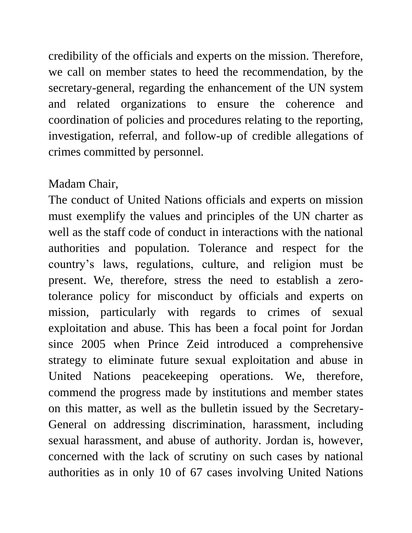credibility of the officials and experts on the mission. Therefore, we call on member states to heed the recommendation, by the secretary-general, regarding the enhancement of the UN system and related organizations to ensure the coherence and coordination of policies and procedures relating to the reporting, investigation, referral, and follow-up of credible allegations of crimes committed by personnel.

## Madam Chair,

The conduct of United Nations officials and experts on mission must exemplify the values and principles of the UN charter as well as the staff code of conduct in interactions with the national authorities and population. Tolerance and respect for the country's laws, regulations, culture, and religion must be present. We, therefore, stress the need to establish a zerotolerance policy for misconduct by officials and experts on mission, particularly with regards to crimes of sexual exploitation and abuse. This has been a focal point for Jordan since 2005 when Prince Zeid introduced a comprehensive strategy to eliminate future sexual exploitation and abuse in United Nations peacekeeping operations. We, therefore, commend the progress made by institutions and member states on this matter, as well as the bulletin issued by the Secretary-General on addressing discrimination, harassment, including sexual harassment, and abuse of authority. Jordan is, however, concerned with the lack of scrutiny on such cases by national authorities as in only 10 of 67 cases involving United Nations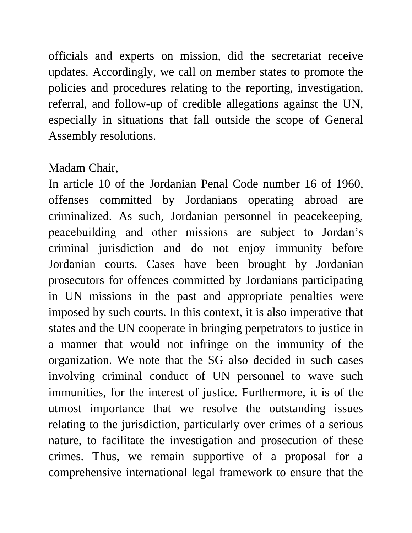officials and experts on mission, did the secretariat receive updates. Accordingly, we call on member states to promote the policies and procedures relating to the reporting, investigation, referral, and follow-up of credible allegations against the UN, especially in situations that fall outside the scope of General Assembly resolutions.

## Madam Chair,

In article 10 of the Jordanian Penal Code number 16 of 1960, offenses committed by Jordanians operating abroad are criminalized. As such, Jordanian personnel in peacekeeping, peacebuilding and other missions are subject to Jordan's criminal jurisdiction and do not enjoy immunity before Jordanian courts. Cases have been brought by Jordanian prosecutors for offences committed by Jordanians participating in UN missions in the past and appropriate penalties were imposed by such courts. In this context, it is also imperative that states and the UN cooperate in bringing perpetrators to justice in a manner that would not infringe on the immunity of the organization. We note that the SG also decided in such cases involving criminal conduct of UN personnel to wave such immunities, for the interest of justice. Furthermore, it is of the utmost importance that we resolve the outstanding issues relating to the jurisdiction, particularly over crimes of a serious nature, to facilitate the investigation and prosecution of these crimes. Thus, we remain supportive of a proposal for a comprehensive international legal framework to ensure that the